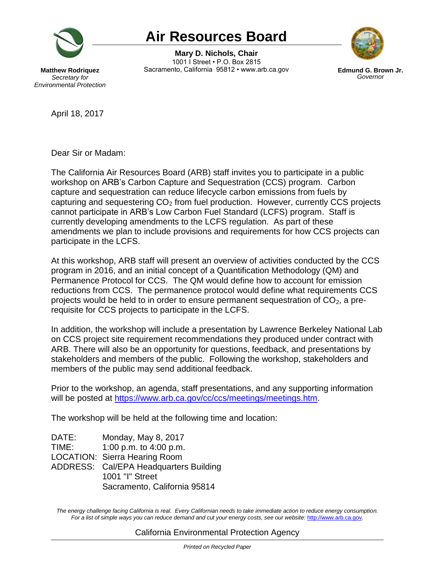

## **Air Resources Board**

**Mary D. Nichols, Chair** 1001 I Street • P.O. Box 2815 Sacramento, California 95812 • www.arb.ca.gov **Edmund G. Brown Jr.**



*Governor*

**Matthew Rodriquez** *Secretary for Environmental Protection*

April 18, 2017

Dear Sir or Madam:

The California Air Resources Board (ARB) staff invites you to participate in a public workshop on ARB's Carbon Capture and Sequestration (CCS) program. Carbon capture and sequestration can reduce lifecycle carbon emissions from fuels by capturing and sequestering  $CO<sub>2</sub>$  from fuel production. However, currently CCS projects cannot participate in ARB's Low Carbon Fuel Standard (LCFS) program. Staff is currently developing amendments to the LCFS regulation. As part of these amendments we plan to include provisions and requirements for how CCS projects can participate in the LCFS.

At this workshop, ARB staff will present an overview of activities conducted by the CCS program in 2016, and an initial concept of a Quantification Methodology (QM) and Permanence Protocol for CCS. The QM would define how to account for emission reductions from CCS. The permanence protocol would define what requirements CCS projects would be held to in order to ensure permanent sequestration of  $CO<sub>2</sub>$ , a prerequisite for CCS projects to participate in the LCFS.

In addition, the workshop will include a presentation by Lawrence Berkeley National Lab on CCS project site requirement recommendations they produced under contract with ARB. There will also be an opportunity for questions, feedback, and presentations by stakeholders and members of the public. Following the workshop, stakeholders and members of the public may send additional feedback.

Prior to the workshop, an agenda, staff presentations, and any supporting information will be posted at [https://www.arb.ca.gov/cc/ccs/meetings/meetings.htm.](https://www.arb.ca.gov/cc/ccs/meetings/meetings.htm)

The workshop will be held at the following time and location:

DATE: Monday, May 8, 2017 TIME: 1:00 p.m. to 4:00 p.m. LOCATION: Sierra Hearing Room ADDRESS: Cal/EPA Headquarters Building 1001 "I" Street Sacramento, California 95814

The energy challenge facing California is real. Every Californian needs to take immediate action to reduce energy consumption. For a list of simple ways you can reduce demand and cut your energy costs, see our website: [http://www.arb.ca.gov](http://www.arb.ca.gov/).

## California Environmental Protection Agency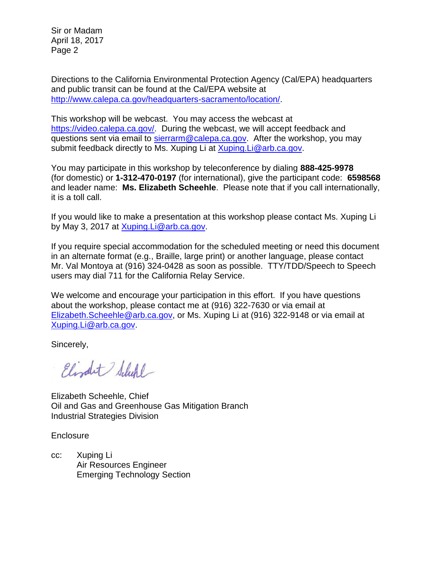Sir or Madam April 18, 2017 Page 2

Directions to the California Environmental Protection Agency (Cal/EPA) headquarters and public transit can be found at the Cal/EPA website at [http://www.calepa.ca.gov/headquarters-sacramento/location/.](http://www.calepa.ca.gov/headquarters-sacramento/location/)

This workshop will be webcast. You may access the webcast at [https://video.calepa.ca.gov/.](https://video.calepa.ca.gov/) During the webcast, we will accept feedback and questions sent via email to [sierrarm@calepa.ca.gov.](mailto:sierrarm@calepa.ca.gov) After the workshop, you may submit feedback directly to Ms. Xuping Li at **[Xuping.Li@arb.ca.gov.](mailto:Xuping.Li@arb.ca.gov)** 

You may participate in this workshop by teleconference by dialing **888-425-9978** (for domestic) or **1-312-470-0197** (for international), give the participant code: **6598568** and leader name: **Ms. Elizabeth Scheehle**. Please note that if you call internationally, it is a toll call.

If you would like to make a presentation at this workshop please contact Ms. Xuping Li by May 3, 2017 at [Xuping.Li@arb.ca.gov.](mailto:Xuping.Li@arb.ca.gov)

If you require special accommodation for the scheduled meeting or need this document in an alternate format (e.g., Braille, large print) or another language, please contact Mr. Val Montoya at (916) 324-0428 as soon as possible. TTY/TDD/Speech to Speech users may dial 711 for the California Relay Service.

We welcome and encourage your participation in this effort. If you have questions about the workshop, please contact me at (916) 322-7630 or via email at [Elizabeth.Scheehle@arb.ca.gov,](mailto:Elizabeth.Scheehle@arb.ca.gov) or Ms. Xuping Li at (916) 322-9148 or via email at [Xuping.Li@arb.ca.gov.](mailto:Xuping.Li@arb.ca.gov)

Sincerely,

Elizabet Schehl

Elizabeth Scheehle, Chief Oil and Gas and Greenhouse Gas Mitigation Branch Industrial Strategies Division

**Enclosure** 

cc: Xuping Li Air Resources Engineer Emerging Technology Section